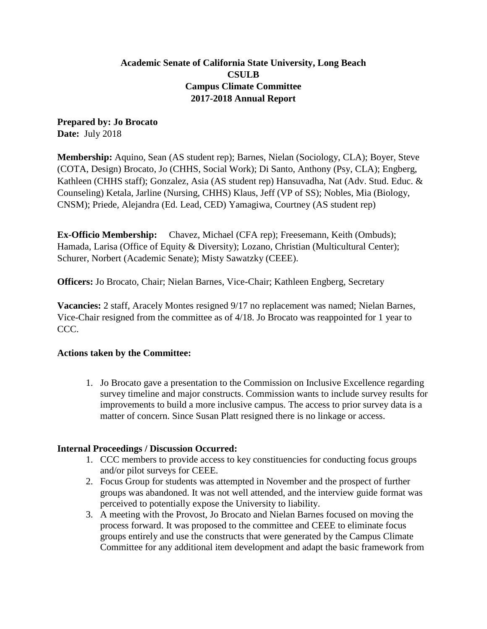# **Academic Senate of California State University, Long Beach CSULB Campus Climate Committee 2017-2018 Annual Report**

**Prepared by: Jo Brocato Date:** July 2018

**Membership:** Aquino, Sean (AS student rep); Barnes, Nielan (Sociology, CLA); Boyer, Steve (COTA, Design) Brocato, Jo (CHHS, Social Work); Di Santo, Anthony (Psy, CLA); Engberg, Kathleen (CHHS staff); Gonzalez, Asia (AS student rep) Hansuvadha, Nat (Adv. Stud. Educ. & Counseling) Ketala, Jarline (Nursing, CHHS) Klaus, Jeff (VP of SS); Nobles, Mia (Biology, CNSM); Priede, Alejandra (Ed. Lead, CED) Yamagiwa, Courtney (AS student rep)

**Ex-Officio Membership:** Chavez, Michael (CFA rep); Freesemann, Keith (Ombuds); Hamada, Larisa (Office of Equity & Diversity); Lozano, Christian (Multicultural Center); Schurer, Norbert (Academic Senate); Misty Sawatzky (CEEE).

**Officers:** Jo Brocato, Chair; Nielan Barnes, Vice-Chair; Kathleen Engberg, Secretary

**Vacancies:** 2 staff, Aracely Montes resigned 9/17 no replacement was named; Nielan Barnes, Vice-Chair resigned from the committee as of 4/18. Jo Brocato was reappointed for 1 year to CCC.

## **Actions taken by the Committee:**

1. Jo Brocato gave a presentation to the Commission on Inclusive Excellence regarding survey timeline and major constructs. Commission wants to include survey results for improvements to build a more inclusive campus. The access to prior survey data is a matter of concern. Since Susan Platt resigned there is no linkage or access.

## **Internal Proceedings / Discussion Occurred:**

- 1. CCC members to provide access to key constituencies for conducting focus groups and/or pilot surveys for CEEE.
- 2. Focus Group for students was attempted in November and the prospect of further groups was abandoned. It was not well attended, and the interview guide format was perceived to potentially expose the University to liability.
- 3. A meeting with the Provost, Jo Brocato and Nielan Barnes focused on moving the process forward. It was proposed to the committee and CEEE to eliminate focus groups entirely and use the constructs that were generated by the Campus Climate Committee for any additional item development and adapt the basic framework from